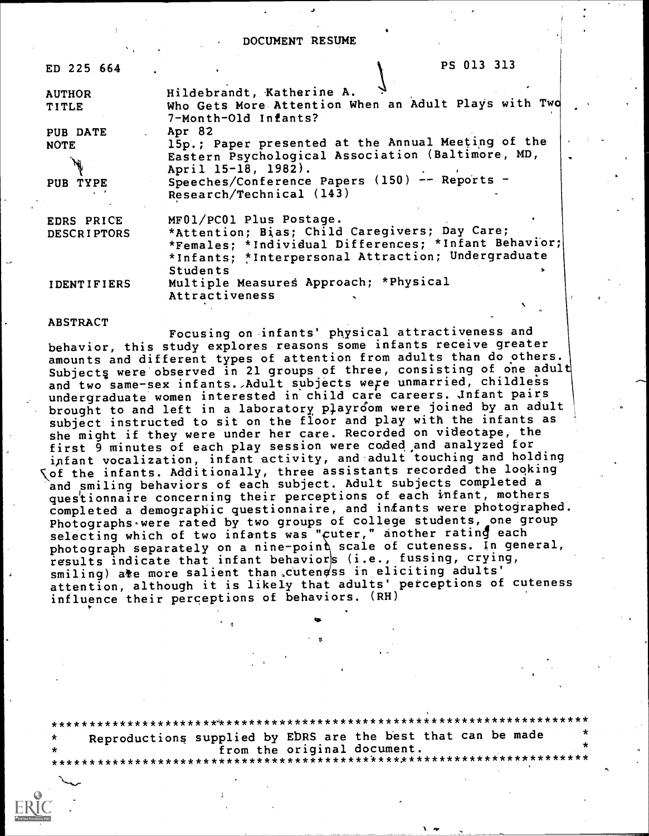DOCUMENT RESUME

| ED 225 664         | PS 013 313                                                                   |  |
|--------------------|------------------------------------------------------------------------------|--|
| <b>AUTHOR</b>      | Hildebrandt, Katherine A.                                                    |  |
| <b>TITLE</b>       | Who Gets More Attention When an Adult Plays with Two<br>7-Month-Old Infants? |  |
| PUB DATE           | Apr 82                                                                       |  |
| <b>NOTE</b>        | 15p.; Paper presented at the Annual Meeting of the                           |  |
|                    | Eastern Psychological Association (Baltimore, MD,<br>April 15-18, 1982).     |  |
| PUB TYPE           | Speeches/Conference Papers (150) -- Reports -<br>Research/Technical (143)    |  |
| EDRS PRICE         | MF01/PC01 Plus Postage.                                                      |  |
| <b>DESCRIPTORS</b> | *Attention; Bias; Child Caregivers; Day Care;                                |  |
|                    | *Females; *Individual Differences; *Infant Behavior;                         |  |
|                    | *Infants; *Interpersonal Attraction; Undergraduate                           |  |
|                    | <b>Students</b><br>$\mathbf{v}$                                              |  |
| <b>IDENTIFIERS</b> | Multiple Measures Approach; *Physical                                        |  |
|                    | Attractiveness                                                               |  |

#### ABSTRACT

Focusing on infants' physical attractiveness and behavior, this study explores reasons some infants receive greater amounts and different types of attention from adults than do others. Subjects were observed in 21 groups of three, consisting of one adult and two same-sex infants. Adult subjects were unmarried, childless undergraduate women interested in child care careers. Jnfant pairs brought to and left in a laboratory playroom were joined by an adult subject instructed to sit on the floor and play with the infants as she might if they were under her care. Recorded on videotape, the first 9 minutes of each play session were coded,and analyzed for ipfant vocalization, infant activity, and adult touching and holding of the infants. Additionally, three assistants recorded the looking and smiling behaviors of each subject. Adult subjects completed a questionnaire concerning their perceptions of each infant, mothers completed a demographic questionnaire, and infants were photographed. Photographs.were rated by two groups of college students, one group selecting which of two infants was "cuter," another rating each photograph separately on a nine-point scale of cuteness. In general, results indicate that infant behaviors (i.e., fussing, crying, smiling) ate more salient than cuteness in eliciting adults' attention, although it is likely that adults' petceptions of cuteness influence their perceptions of behaviors. (RH)

\*\*\*\*\*\*\*\*\*\*\*\*\*\*\*\*\*\*\*\*\*\*'\*\*\*\*\*\*\*\*\*\*\*\*\*\*\*\*\*\*\*\*\*\*\*\*\*\*\*\*\*\*\*\*\*\*\*\*\*\*\*\*\*\*\*\*\*\*\*\*\* Reproductions supplied by EDRS are the best that can be made<br>from the original document. \* from the original document. \* \*\*\*\*\*\*\*\*\*\*\*\*\*\*\*\*\*\*\*\*\*\*\*\*\*\*\*\*\*\*\*\*\*\*\*\*\*\*\*\*\*\*'\*\*\*\*4\*\*\*\*\*\*\*\*\*\*\*\*\*\*\*\*\*\*\*\*\*\*\*\*\*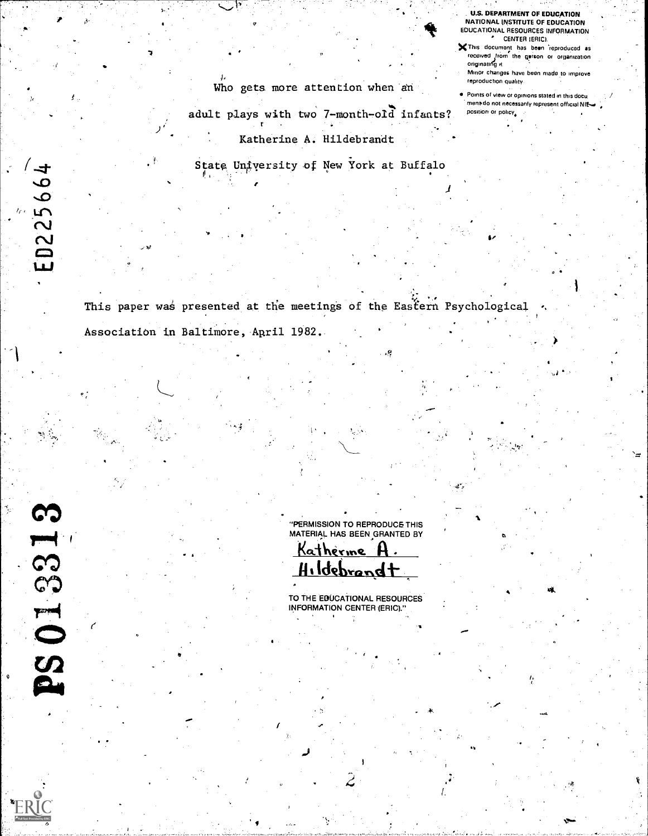U.S. DEPARTMENT OF EDUCATION NATIONAL INSTITUTE OF EDUCATION EDUCATIONAL RESOURCES INFORMATION

- $\times$  This document has been reproduced as received from the garson or organization originatirfg rt
- Minor changes have been made to improve reproduction quality
- Points of view or opinions stated in this docu ment do not necessarily represent official NIE position or policy.

Who gets more attention when an

adult plays with two 7-month-old infants?

Katherine A. Hildebrandt

State University of New York at Buffalo

rwei der Gestigt der Stadt und der Stadt und der Stadt und der Stadt und der Stadt und der Stadt und der Stadt<br>Ein der Stadt und der Stadt und der Stadt und der Stadt und der Stadt und der Stadt und der Stadt und der Stad

 $\mathbf{C}$ 

references and the second second second second second second second second second second second second second second second second second second second second second second second second second second second second second

 $\Omega$  and  $\Omega$ 

This paper was presented at the meetings of the Eastern Psychological Association in Baltimore, April 1982.

> "PERMISSION TO REPRODUCE THIS MATERIAL HAS BEEN GRANTED BY

a

Katherine Hildebrandt

TO THE EDUCATIONAL RESOURCES INFORMATION CENTER (ERIC)."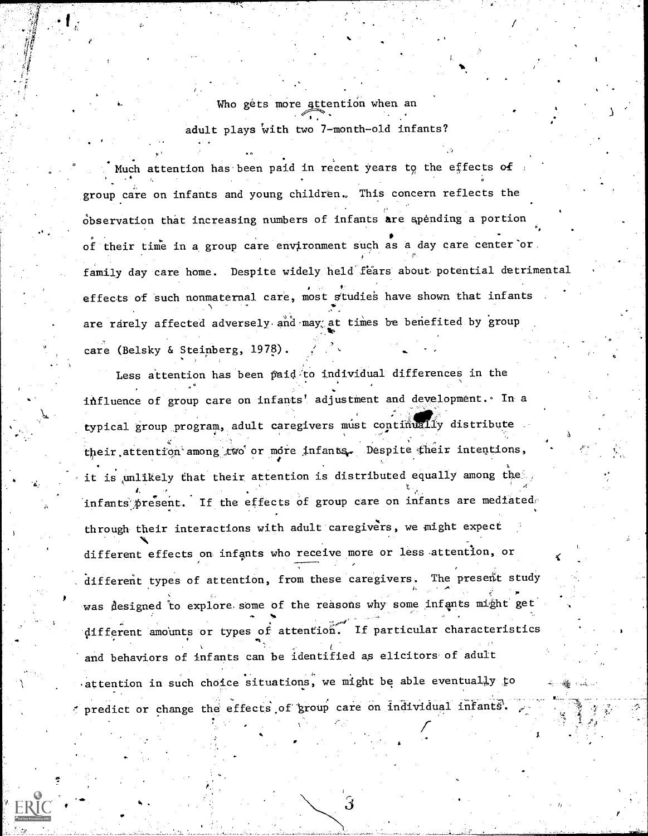Who gets more attention when an adult plays with two 7-month-old infants? t..

A,

Much attention has been paid in recent years to the effects of group care on infants and young children.. This concern reflects the Observation that increasing numbers of infants are apending a portion of their time in a group care environment such as a day care center or. family day care home. Despite widely held fears about potential detrimental effects of such nonmaternal care, most studies have shown that infants are rarely affected adversely and may at times be benefited by group care (Belsky & Steinberg,  $1978$ ).

Less dttention has been paid to individual differences in the influence of group care on infants' adjustment and development. In a typical group program, adult caregivers must continually distribute their attention among two or more infants. Despite their intentions, it is unlikely that their attention is distributed equally among the  $,$ infants present. If the effects of group care on infants are mediated, through their interactions with adult caregivers, we might expect different effects on infants who receive more or less attention, or different types of attention, from these caregivers. The present study was designed to explore some of the reasons why some infants might get different amounts or types of attention. If particular characteristics and behaviors of infants can be identified as elicitors of adult  $\alpha$ , attention in such choice situations, we might be able eventually to : predict or change the effects of group care on individual infants.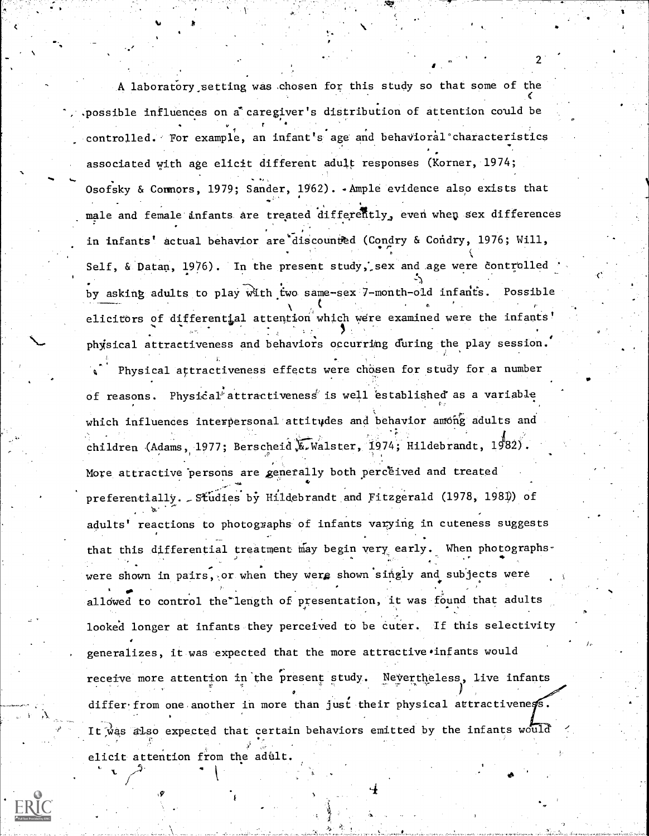A laboratory setting was chosen for this study so that some of the  $\mathbf{v}$  and  $\mathbf{v}$ possible influences on a caregiver's distribution of attention could be r controlled. For example, an infant's age and behavioral characteristics associated with age elicit different adult responses (Korner, 1974; Osofsky & Connors, 1979; Sander, 1962). .Ample evidence also exists that male and female infants are treated differently, even when sex differences in infants' actual behavior are discounted (Condry & Condry, 1976; Will, Self, & Datan, 1976). In the present study, sex and age were controlled by asking adults to play with two same-sex 7-month-old infants. Possible elicitors of differential attention which were examined were the infants' physical attractiveness and behaviors occurring during the play session. Physical attractiveness effects were chosen for study for a number of reasons. Physical attractiveness is well established as a variable which influences interpersonal attitudes and behavior among adults and children (Adams, 1977; Berscheid  $\sqrt{x}$ . Walster, 1974; Hildebrandt, 1982). , More attractive persons are generally both perceived and treated preferentially. Studies by Hildebrandt and Fitzgerald (1978, 1981) of adults' reactions to photographs of infants varying in cuteness suggests that this differential treatment may begin very early. When photographswere shown in pairs, or when they were shown singly and subjects were  $\qquad$ allowed to control the length of presentation, it was found that adults looked longer at infants they perceived to be cuter. If this selectivity generalizes, it was expected that the more attractive infants would receive more attention in the present study. Nevertheless, live infants  $\mathbf{y} = \mathbf{y} \cdot \mathbf{y}$  , where  $\mathbf{y} = \mathbf{y} \cdot \mathbf{y}$ differ from one another in more than just their physical attractiveness. It was also expected that certain behaviors emitted by the infants would elicit attention from the adul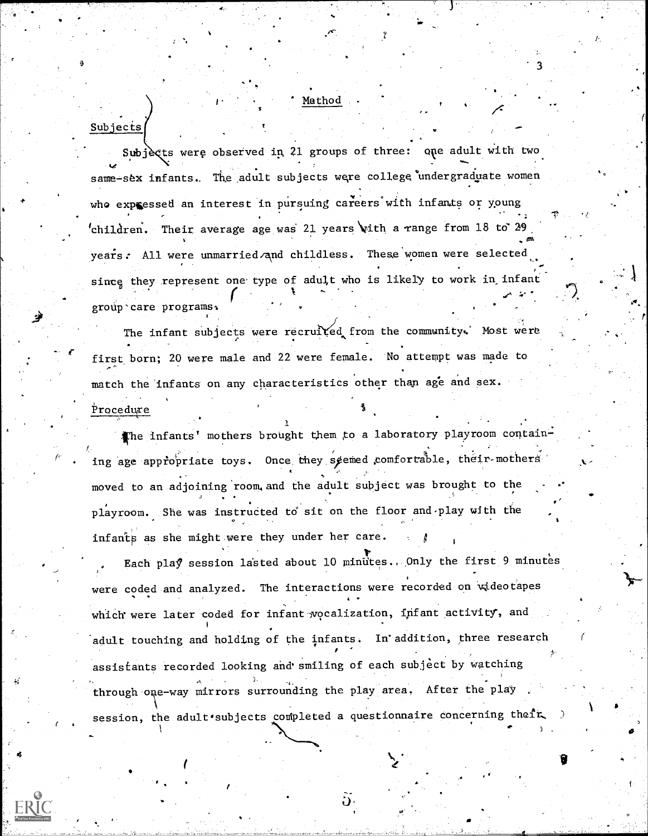### Method

## Subjects

A

 $\sim$  45  $\sim$  45  $\sim$ 

Subjects were observed in 21 groups of three: one adult with two te ,.. same-sex infants. The adult subjects were college undergraduate women who expressed an interest in pursuing careers with infants or young -; 'children. Their average age was 21 years with a range from 18 to 29  $\cdot$  m  $\cdot$ years: All were unmarried/and childless. These women were selected since they represent one type of adult who is likely to work in infant group'care programs,

The infant subjects were recruited from the community. Most were  $\frac{1}{\sqrt{2}}$ first born; 20 were male and 22 were female. 'No attempt was made to match the infants on any characteristics other than age and sex. Procedure

The infants' mothers brought them to a laboratory playroom containing age appropriate toys. Once they seemed comfortable, their-mothers moved to an adjoining room, and the adult subject was brought to the playroom. She was instructed to sit on the floor and play with the infants as she might were they under her care.

Each play session lasted about 10 minutes., Only the first 9 minutes were coded and analyzed. The interactions were recorded on wideotapes which were later coded for infant wocalization, infant activity, and adult touching and holding of the infants. In addition, three research / assistants recorded looking and smiling of each subject by watching through one-way mirrors surrounding the play area. After the play session, the adult subjects completed a questionnaire concerning their,

 $\ddot{\mathbf{U}}$ 

)

v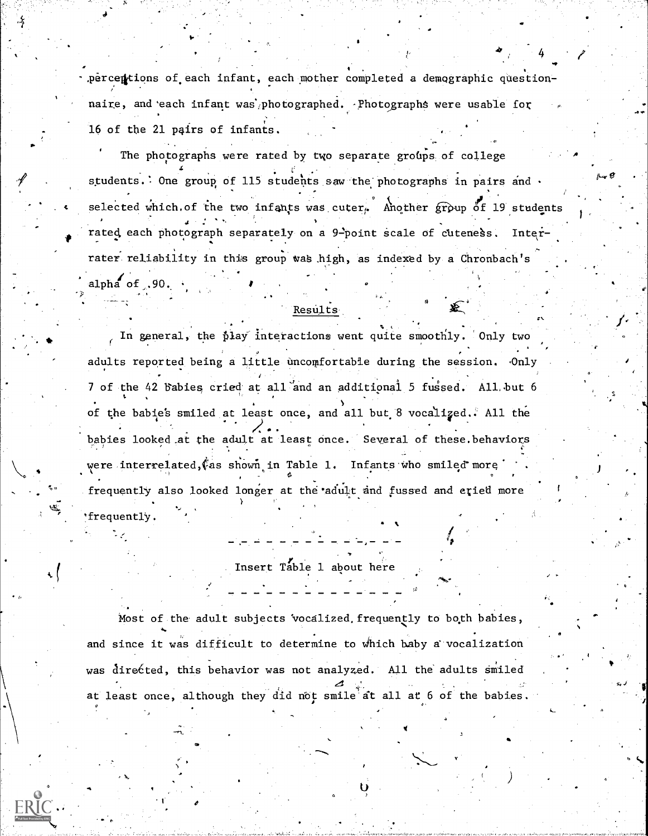.percentions of each infant, each mother completed a demographic questionnaire, and each infant was.photographed. -Photographs were usable for 10 of the 21 pairs of infants.

 $4$   $\ell$ 

.

The photographs were rated by two separate groups of college students. One group of 115 students saw the photographs in pairs and . selected which.of the two infants was cuter. Another group of 19 students rated each photograph separately on a 9-point scale of cuteness. Interrater reliability in this group was high, as indexed by a Chronbach's alpha of .90.

Results

In general, the play interactions went quite smoothly. Only two adults reported being a little uncomfortable during the session. Only 7 of the 42 Babies cried at all and an additional 5 fussed. All but 6 of the babie's smiled at least once, and all but 8 vocalized. All the babies looked at the adult at least once. Several of these.behaviors were interrelated, (as shown in Table 1. Infants who smiled more 0 frequently also looked longer at the adult and fussed and cried more 'frequentlY. '

Insert Table 1 about here

'....,

Most of the adult subjects vocalized. frequently to both babies, and since it was difficult to determine to which baby a vocalization was directed, this behavior was not analyzed. All the adults smiled  $\Delta$  in the set of  $\Delta$ at least once, although they did not smile at all at 6 of the babies.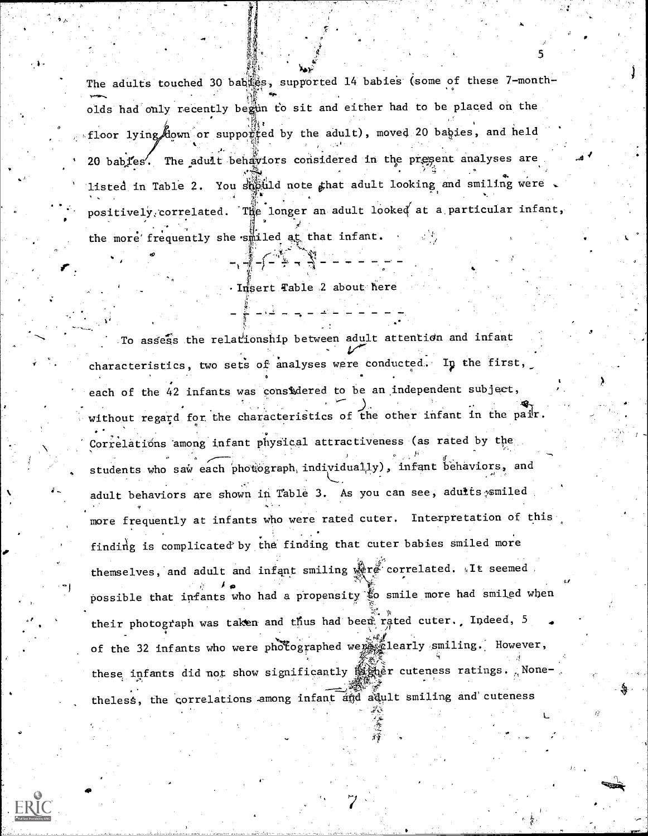The adults touched 30 babies, supported 14 babies (some of these 7-month-<br>  $\overline{a}$ olds had only recently begin to sit and either had to be placed on the  $^{\circ}$  , floor lying down or supported by the adult), moved 20 babies, and held 20 babies. The adult behaviors considered in the present analyses are -r-.  $\frac{1}{2}$  .  $\frac{1}{2}$  .  $\frac{1}{2}$ listed in Table 2. You suppuld note that adult looking and smiling were positively, correlated. The longer an adult looked at a particular infant, the more frequently she smiled at that infant.

version in the second second second second second second second second second second second second second second second second second second second second second second second second second second second second second seco

5

;',"

Insert Table 2 about here

 $\mathcal{F}$  . The set of the set of the set of the set of the set of the set of the set of the set of the set of the set of the set of the set of the set of the set of the set of the set of the set of the set of the set of t

 $\Omega$  . The set of  $\Omega$ - t .

المستخدم المستخدمة المستخدمة المستخدمة المستخدمة المستخدمة المستخدمة المستخدمة المستخدمة المستخدمة المستخدمة ا<br>المستخدمة

. To assess the relationship between adult attention and infant characteristics, two sets of analyses were conducted. In the first,  $\ddot{\phantom{a}}$ each of the 42 infants was considered to be an independent subject, without regard for the characteristics of the other infant in the pair. Correlations among infant physical attractiveness (as rated by the students who saw each photograph individually), infant behaviors, and adult behaviors are shown in Table 3. As you can see, adults smiled. more frequently at infants who were rated cuter. Interpretation of this finding is complicated'by the finding that cuter babies smiled more themselves, and adult and infant smiling  $\mathbb{R}$ re correlated.  $\kappa$ It seemed . 5 **1 o** 1 o 1 o possible that infants who had a propensity-to smile more had smiled wben their photograph was taken and thus had been rated cuter. Indeed,  $5$  ,  $\,$ of the 32 infants who were photographed weilearly smiling. However, these infants did not show significantly  $\mathbb{C}^{\infty}_{\infty}$  cuteness ratings. Nonetheless, the correlations among infant and adult smiling and cuteness

 $4\frac{4\pi}{3}$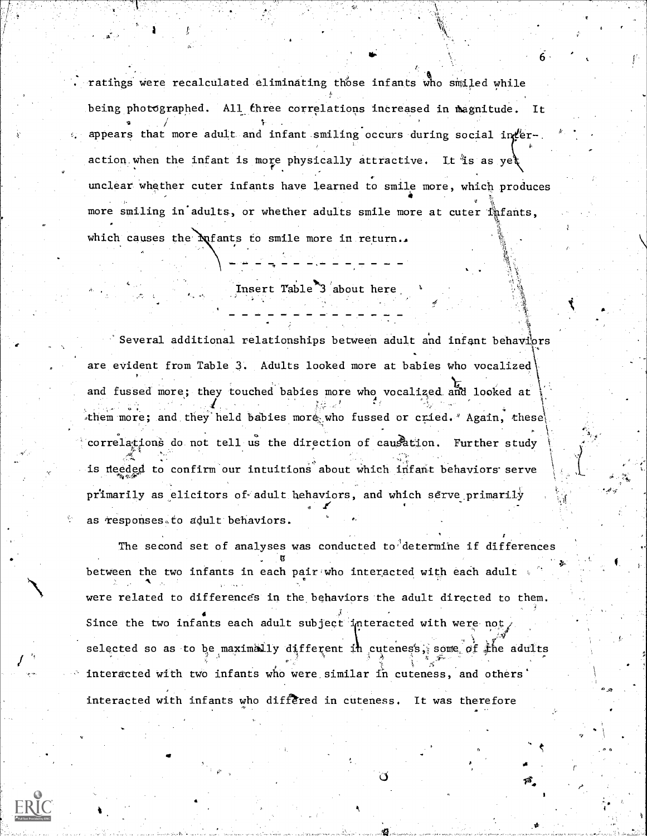ratings were recalculated eliminating those infants who smiled while being photographed. All three correlations increased in magnitude. It appears that more adult and infant smiling occurs during social in  $\ell$ eraction when the infant is more physically attractive. It is as yet unclear whether cuter infants have learned to smile more, which produces 4  $\tilde{g}$ , and the set of  $\tilde{g}$ more smiling in adults, or whether adults smile more at cuter infants, which causes the  $M$ fants to smile more in return..

 $k_{\perp}$  .

Insert Table<sup>\*3</sup> about here

 $\dot{\phantom{a}}$  Several additional relationships between adult and infant behaviors are evident from Table 3. Adults looked more at babies who vocalized and fussed more; they touched babies more who vocalized and looked at  $\mathcal{C}$ them more; and they held babies more who fussed or cried, Again, these correlations do not tell us the direction of causation. Further study is deeded to confirm our intuitions about which infant behaviors serve primarily as elicitors of adult behaviors, and which serve primarily as responses.to adult behaviors.

The second set of analyses was conducted to determine if differences  $\cdot$  and  $\overline{a}$ between the two infants in each pair who interacted with each adult were related to differences in the behaviors the adult directed to them. Since the two infants each adult subject interacted with were not selected so as to be maximally different in cuteness, some of the adults interacted With two infants who were.similar in cuteness, and others' interacted with infants who differed in cuteness. It was therefore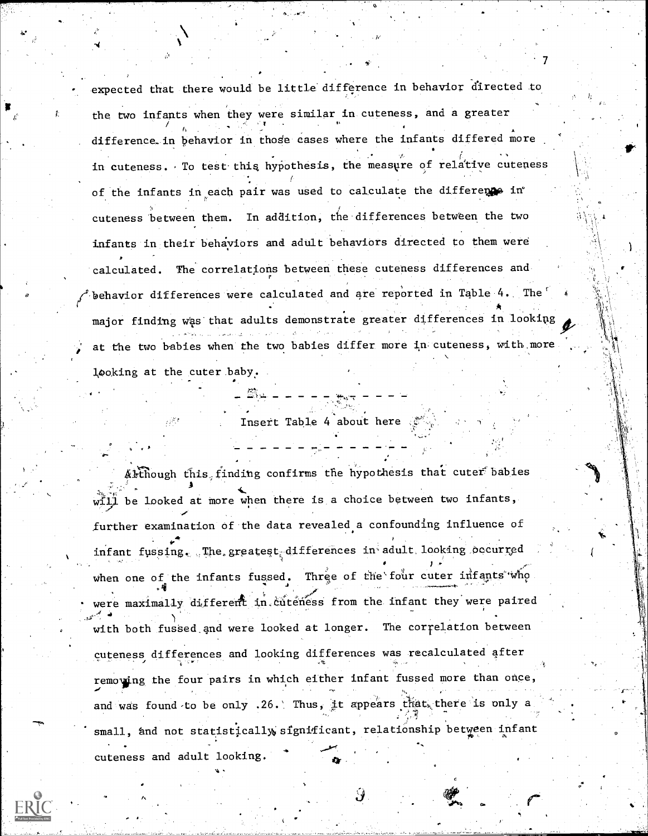expected that there would be little difference in behavior directed to the two infants when they were similar in cuteness, and a greater  $\prime$   $\prime$ . . A strong and the strong strong strong and the strong strong strong strong strong strong strong strong strong difference,in behavior in thode cases where the infants differed more . . . . . ,,.. <sup>f</sup> in cuteness. To test this hypothesis, the measure of relative cuteness  $\begin{array}{c} \begin{array}{c} \end{array} \end{array}$ of the infants in each pair was used to calculate the difference in° Part of the Contract cuteness between them. In addition, the differences between the two infants in their behayiors and adult behaviors directed to them were calculated. The correlations between these cuteness differences and behavior differences were calculated and are reported in Table 4. The major finding was that adults demonstrate greater differences in looking at the two babies when the two babies differ more in cuteness, with more  $\ldots$ looking at the cuter baby.  $\hat{\mathbf{x}} = \hat{\mathbf{x}}$ 

## Insert Table 4 about here

Although this finding confirms the hypothesis that cuter babies will be looked at more when there is a choice between two infants, further examination of the data revealed a confounding influence of infant fussing. The greatest differences in adult looking occurred when one of the infants fussed. Three of the four cuter infants who  $\mathcal{A}$  , and the set of  $\mathcal{A}$  is the set of  $\mathcal{A}$  , and  $\mathcal{A}$ were maximally different in cuteness from the infant they were paired Awith both fussed and were looked at longer. The correlation between cuteness differences and looking differences was recalculated after remowing the four pairs in which either infant fussed more than once, and was found to be only .26. Thus, it appears that there is only a small, and not statistically significant, relationship between infant cuteness and adult looking.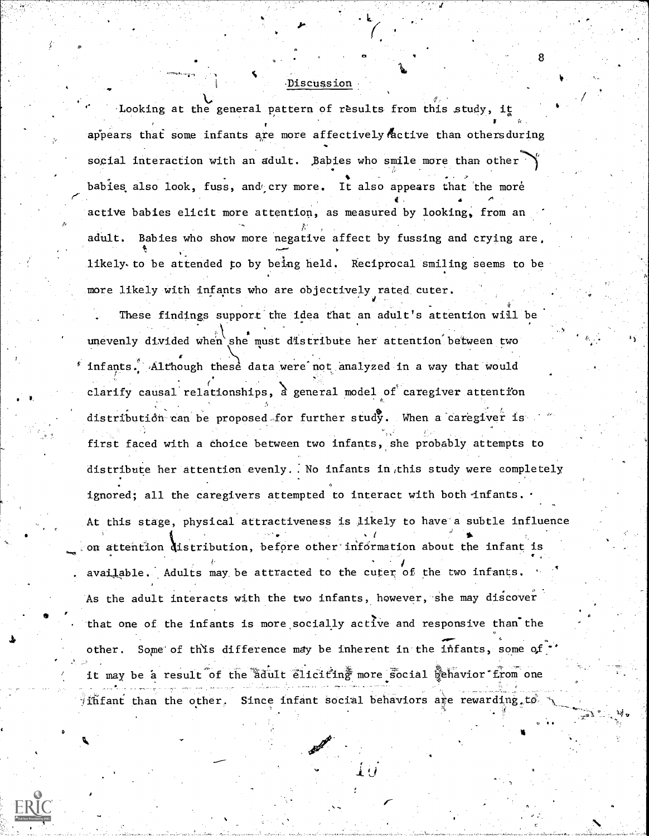#### -Discussion

Looking at the general pattern of results from this study, it  $\bullet$  x appears that some infants are more affectively active than othersduring social interaction with an adult. Babies who smile more than other  $\gamma$ babies also look, fuss, and cry more. It also appears that the more active babies elicit more attention, as measured by looking, from an , adult. Babies who show more negative affect by fussing and crying are, likely.to be attended to by being held. Reciprocal smiling seems to be more likely With infants who are objectively rated Cuter.

These findings support the idea that an adult's attention will be unevenly divided when she must distribute her attention between two infants. Although these data were not analyzed in a way that would clarify causal relationships,  $\alpha$  general model of caregiver attention distribution can be proposed for further study. When a caregiver is first faced with a choice between two infants, she probably attempts to distribute her attention evenly.. No infants in,this study were completely ignored; all the caregivers attempted to interact with both infants. At this stage, physical attractiveness is likely to have a subtle influence on attention distribution, before other information about the infant ( . available. Adults may be attracted to the cuter of the two infants. As the adult interacts with the two infants, however, she may discover that one of the infants is more socially active and responsive than the other. Some of this difference may be inherent in the infants, some of  $\cdot$ it may be a result of the adult eliciting more social gehavior from one ififant than the other. Since infant social behaviors are rewarding to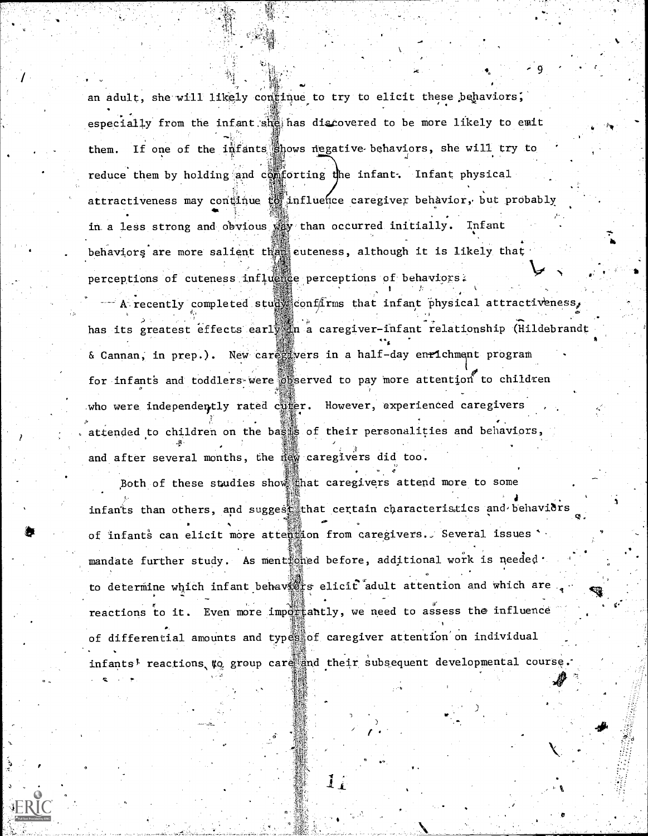an adult, she will likely continue to try to elicit these behaviors;  $\mu$  ,  $\mu$ especially from the infant she has discovered to be more likely to emit them. If one of the infants shows negative behaviors, she will try to reduce them by holding and comforting the infant. Infant physical attractiveness may continue  $\mathcal{C}_0$  influe fice caregiver behavior, but probably in a less strong and obvious way than occurred initially. Infant behaviors are more salient than euteness, although it is likely that perceptions of cuteness influence perceptions of behaviors.

 $-$  A recently completed stud conf $\lim$  that infant physical attractiveness, has its greatest effects earl in a caregiver-infant relationship (Hildebrandt & Cannan, in prep.). New caregivers in a half-day enrichment program for infants and toddlers-were observed to pay more attention to children who were independently rated cutter. However, experienced caregivers attended to children on the basis of their personalities and behaviors, and after several months, the new caregivers did too.

\*

0

Both of these studies show that caregivers attend more to some infants than others, and suggest that certain characteristics and behaviors  $\sim$ of infants can elicit more attention from caregivers., Several issues mandate further study. As ment foned before, additional work is needed. to determine which infant behaviors elicit adult attention and which are ... ,. reactions to it. Even more importantly, we need to assess the influence in the interval of the interval of the ft .. . , . . of differential amounts and types of caregiver attention on individual  $\mathbb{R}$ infants, reactions to group care and their subsequent developmental course.''  $\sim$ 

 $1\,$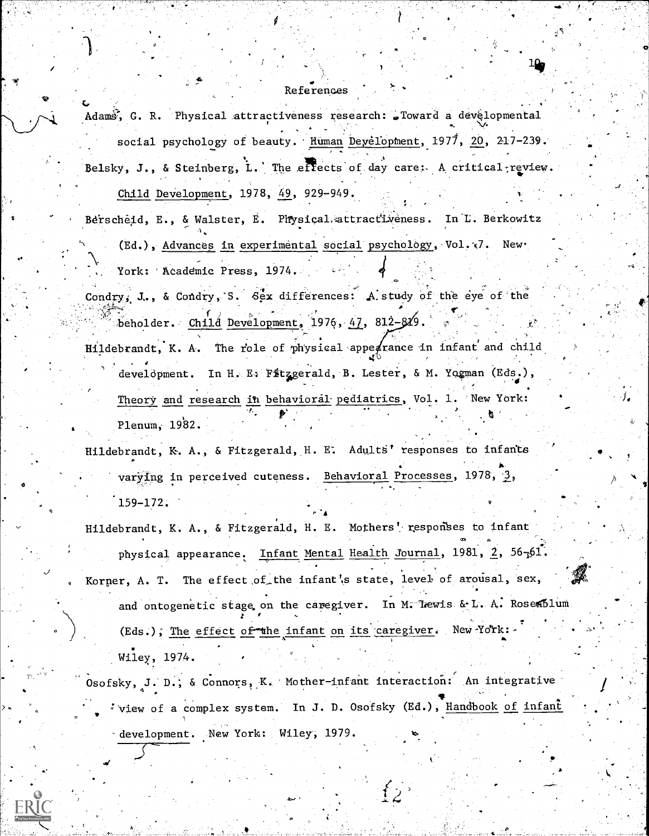## References

Adams, G. R. Physical attractiveness research: Toward a developmental and the contractive of the contractive of the contractive of the contractive of the contractive original contractive original contractive original contr social psychology of beauty. Human Development,  $1977$ ,  $20$ ,  $217-239$ . Belsky, J., & Steinberg, L. The effects of day care: A critical review.  $\qquad \qquad \, \cdot$ and a company

Child Development, 1978, 49, 929-949.

- Berscheid, E., & Walster, E. Physical. attractiveness. In L. Berkowitz  $\mathcal{N}_{\bullet}$  is a set of the set of  $\mathcal{N}_{\bullet}$  $\sim$ York: Academic Press, 1974. (Ed.), Advances in experimental social psychology, Vol. < 7. New.  $\P$  , where  $\Gamma$
- Condry, J., & Condry, S. Sex differences: A study of the eye of the beholder. Child Development,  $1976, 47, 812-849$ .
- Hildebrandt, K. A. The role of physical appearance in infant and child. A set of  $\mathcal{L}^{\mathbb{Q}}$ . 4 develdpment. In H. E. Fitzgerald, B. Lester, & M. Yogman (Eds.), which is a Theory and research in behavioral pediatrics, Vol. 1. New York:<br>Plenum, 1982. Plenum, 1982.

Hildebrandt, K. A., & Fitzgerald, H. E. Adults' responses to infants for the set varying in perceived cuteness. <u>Behavioral Processes</u>, 1978, 2, .159-172.

Hildebrandt, K. A., & Fitzgerald, H. E. Mothers' responses to infant physical appearance. Infant Mental Health Journal, 1981, 2,  $56.561$ . . Korper, A. T. The effect of the infant's state, level of arousal, sex,  $\mathcal{R}$ and ontogenetic stage on the caregiver. In M. Tewis & L. A. Rose folumeral and the caregion : (Eds.), The effect o<del>f th</del>e infant on its caregiver. New York: Wiley, 1974.

a

Osofsky, J. D.; & Connors, Mother-infant interaction: An integrative : view of a complex system. In J. D. Osofsky (Ed.), <u>Handbook of infant can all</u> development. New York: Wiley, 1979.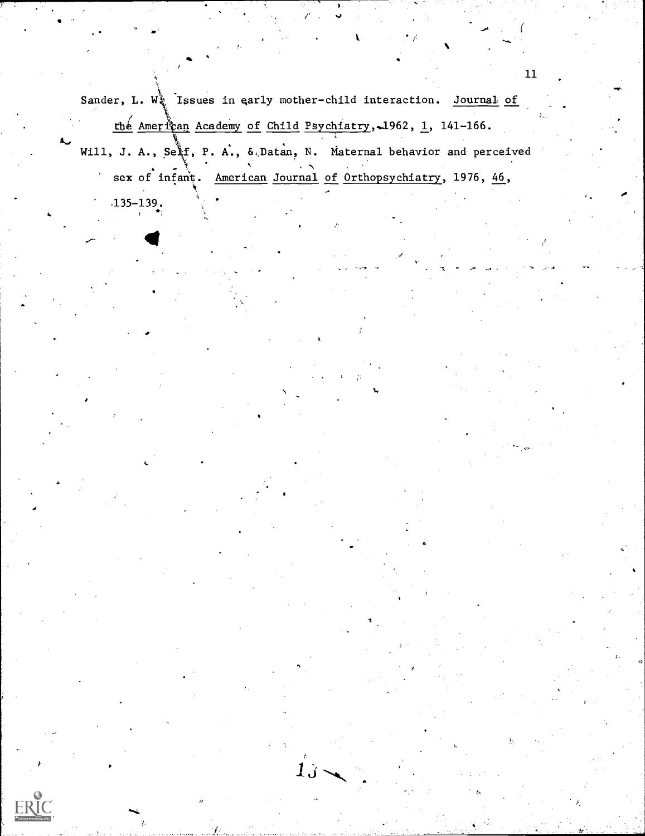Sander, L. W. Issues in early mother-child interaction. Journal of the American Academy of Child Psychiatry, 1962, 1, 141-166. Will, J. A., Seif, P. A., & Datan, N. Maternal behavior and perceived sex of infant. American Journal of Orthopsychiatry, 1976, 46,  $\bullet$ . . ..- 135-139. 4

 $1<sub>o</sub>$ 

I.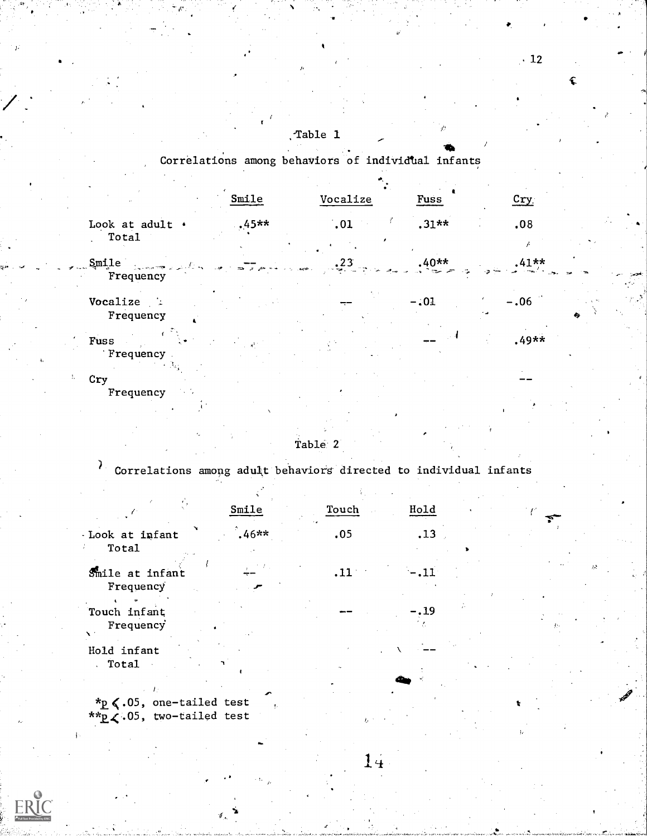| Table |  |
|-------|--|
|-------|--|

# Correlations among behaviors of individual infants

|                                          | Smile   | Vocalize         | Fuss    | $\mathbf{Cry}$ |  |
|------------------------------------------|---------|------------------|---------|----------------|--|
| Look at adult .<br>Total                 | $.45**$ | $\cdot$ 01       | $.31**$ | .08            |  |
| Smile<br><b>Convertible</b><br>Frequency |         | .23 <sub>1</sub> | $.40**$ | $.41**$        |  |
| Vocalize<br>Frequency                    |         |                  | $-.01$  | $-.06$         |  |
| Fuss<br>Frequency                        |         |                  |         | $.49**$        |  |
| Cry<br>Frequency                         |         |                  |         |                |  |

Table 2

 $\lambda$  Correlations among adult behaviors directed to individual infants

 $14$ 

|                              | Smile    | Touch | Hold |  |
|------------------------------|----------|-------|------|--|
| Look at infant<br>Total      | $.46***$ | .05   | .13  |  |
| Smile at infant<br>Frequency |          | .11   |      |  |
| Touch infant<br>Frequency    |          |       | .19  |  |
| Hold infant<br>Total         |          |       |      |  |
|                              |          |       |      |  |

 $*_P$   $\zeta$  .05, one-tailed test  $\qquad \qquad ,$  $*$ \* $p$  $\swarrow$ .05, two-tailed test

- 1:

ERIC

 $\cdot$  12

¢